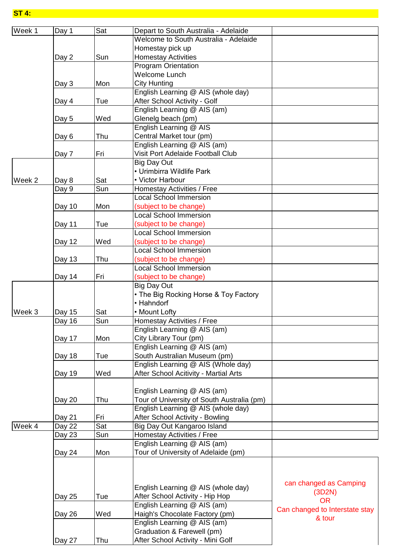**ST 4:**

| Week 1 | Day 1  | Sat | Depart to South Australia - Adelaide       |                                |
|--------|--------|-----|--------------------------------------------|--------------------------------|
|        |        |     | Welcome to South Australia - Adelaide      |                                |
|        |        |     | Homestay pick up                           |                                |
|        | Day 2  | Sun | <b>Homestay Activities</b>                 |                                |
|        |        |     | <b>Program Orientation</b>                 |                                |
|        |        |     | <b>Welcome Lunch</b>                       |                                |
|        | Day 3  | Mon | City Hunting                               |                                |
|        |        |     | English Learning @ AIS (whole day)         |                                |
|        | Day 4  | Tue | After School Activity - Golf               |                                |
|        |        |     | English Learning @ AIS (am)                |                                |
|        | Day 5  | Wed | Glenelg beach (pm)                         |                                |
|        |        |     | English Learning @ AIS                     |                                |
|        | Day 6  | Thu | Central Market tour (pm)                   |                                |
|        |        |     | English Learning @ AIS (am)                |                                |
|        | Day 7  | Fri | <b>Visit Port Adelaide Football Club</b>   |                                |
|        |        |     | <b>Big Day Out</b>                         |                                |
|        |        |     | • Urimbirra Wildlife Park                  |                                |
| Week 2 | Day 8  | Sat | • Victor Harbour                           |                                |
|        | Day 9  | Sun | Homestay Activities / Free                 |                                |
|        |        |     | <b>Local School Immersion</b>              |                                |
|        | Day 10 | Mon | (subject to be change)                     |                                |
|        |        |     | <b>Local School Immersion</b>              |                                |
|        | Day 11 | Tue | (subject to be change)                     |                                |
|        |        |     | <b>Local School Immersion</b>              |                                |
|        | Day 12 | Wed | (subject to be change)                     |                                |
|        |        |     | <b>Local School Immersion</b>              |                                |
|        | Day 13 | Thu | (subject to be change)                     |                                |
|        |        |     | <b>Local School Immersion</b>              |                                |
|        | Day 14 | Fri | (subject to be change)                     |                                |
|        |        |     | <b>Big Day Out</b>                         |                                |
|        |        |     | • The Big Rocking Horse & Toy Factory      |                                |
|        |        |     | • Hahndorf                                 |                                |
| Week 3 |        | Sat | • Mount Lofty                              |                                |
|        | Day 15 |     | <b>Homestay Activities / Free</b>          |                                |
|        | Day 16 | Sun | English Learning @ AIS (am)                |                                |
|        |        | Mon | City Library Tour (pm)                     |                                |
|        | Day 17 |     | English Learning @ AIS (am)                |                                |
|        |        |     |                                            |                                |
|        | Day 18 | Tue | South Australian Museum (pm)               |                                |
|        |        |     | English Learning @ AIS (Whole day)         |                                |
|        | Day 19 | Wed | After School Acitivity - Martial Arts      |                                |
|        |        |     |                                            |                                |
|        |        |     | English Learning @ AIS (am)                |                                |
|        | Day 20 | Thu | Tour of University of South Australia (pm) |                                |
|        |        |     | English Learning @ AIS (whole day)         |                                |
|        | Day 21 | Fri | After School Activity - Bowling            |                                |
| Week 4 | Day 22 | Sat | Big Day Out Kangaroo Island                |                                |
|        | Day 23 | Sun | Homestay Activities / Free                 |                                |
|        |        |     | English Learning @ AIS (am)                |                                |
|        | Day 24 | Mon | Tour of University of Adelaide (pm)        |                                |
|        |        |     |                                            |                                |
|        |        |     |                                            |                                |
|        |        |     |                                            | can changed as Camping         |
|        |        |     | English Learning @ AIS (whole day)         | (3D2N)                         |
|        | Day 25 | Tue | After School Activity - Hip Hop            | <b>OR</b>                      |
|        |        |     | English Learning @ AIS (am)                | Can changed to Interstate stay |
|        | Day 26 | Wed | Haigh's Chocolate Factory (pm)             | & tour                         |
|        |        |     | English Learning @ AIS (am)                |                                |
|        |        |     | Graduation & Farewell (pm)                 |                                |
|        | Day 27 | Thu | After School Activity - Mini Golf          |                                |